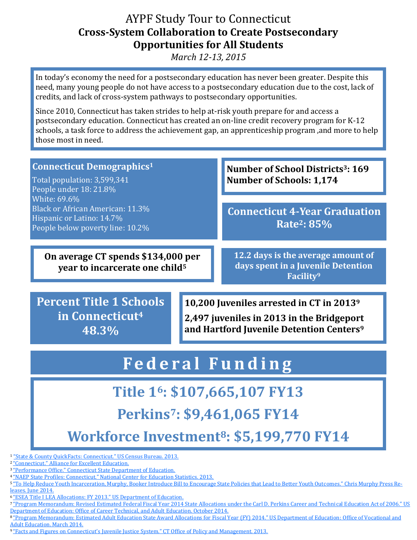#### AYPF Study Tour to Connecticut **Cross-System Collaboration to Create Postsecondary Opportunities for All Students**

*March 12-13, 2015* 

In today's economy the need for a postsecondary education has never been greater. Despite this need, many young people do not have access to a postsecondary education due to the cost, lack of credits, and lack of cross-system pathways to postsecondary opportunities.

Since 2010, Connecticut has taken strides to help at-risk youth prepare for and access a postsecondary education. Connecticut has created an on-line credit recovery program for K-12 schools, a task force to address the achievement gap, an apprenticeship program ,and more to help those most in need.

| <b>Connecticut Demographics1</b><br>Total population: 3,599,341<br>People under 18: 21.8%                         |  | Number of School Districts <sup>3</sup> : 169<br><b>Number of Schools: 1,174</b>                                                                          |
|-------------------------------------------------------------------------------------------------------------------|--|-----------------------------------------------------------------------------------------------------------------------------------------------------------|
| White: 69.6%<br>Black or African American: 11.3%<br>Hispanic or Latino: 14.7%<br>People below poverty line: 10.2% |  | <b>Connecticut 4-Year Graduation</b><br>Rate <sup>2</sup> : 85%                                                                                           |
| On average CT spends \$134,000 per<br>year to incarcerate one child <sup>5</sup>                                  |  | 12.2 days is the average amount of<br>days spent in a Juvenile Detention<br>Facility <sup>9</sup>                                                         |
| <b>Percent Title 1 Schools</b><br>in Connecticut <sup>4</sup><br>48.3%                                            |  | 10,200 Juveniles arrested in CT in 2013 <sup>9</sup><br>2,497 juveniles in 2013 in the Bridgeport<br>and Hartford Juvenile Detention Centers <sup>9</sup> |

# **Fe d e r a l F u n d i n g**

## **Title 16: \$107,665,107 FY13**

## **Perkins7: \$9,461,065 FY14**

**Workforce Investment8: \$5,199,770 FY14**

<sup>1</sup> ["State & County QuickFacts: Connecticut." US Census Bureau. 2013.](http://quickfacts.census.gov/qfd/states/09000.html)

<sup>2</sup>["Connecticut." Alliance for Excellent Education.](http://all4ed.org/state-data/connecticut/)

<sup>3</sup>["Performance Office." Connecticut State Department of Education.](http://www.sde.ct.gov/sde/cwp/view.asp?a=2758&q=334898)

<sup>4</sup>["NAEP State Profiles: Connecticut." National Center for Education Statistics. 2013.](http://nces.ed.gov/nationsreportcard/states/)

5 ["To Help Reduce Youth Incarceration, Murphy, Booker Introduce Bill to Encourage State Policies that Lead to Better Youth Outc](http://www.murphy.senate.gov/newsroom/press-releases/to-help-reduce-youth-incarceration-murphy-booker-introduce-bill-to-encourage-state-policies-that-lead-to-better-youth-outcomes)omes." Chris Murphy Press Re[leases. June 2014.](http://www.murphy.senate.gov/newsroom/press-releases/to-help-reduce-youth-incarceration-murphy-booker-introduce-bill-to-encourage-state-policies-that-lead-to-better-youth-outcomes)

<sup>6</sup>["ESEA Title I LEA Allocations: FY 2013." US Department of Education.](http://www2.ed.gov/about/overview/budget/titlei/fy13/index.html)

<sup>7</sup>["Program Memorandum: Revised Estimated Federal Fiscal Year 2014 State Allocations under the Carl D. Perkins Career and Techni](1http:/cte.ed.gov/file/state_allocations/Revised_Estimated_FY2014_State_Allocations_under_Perkins_IV.pdf)cal Education Act of 2006." US [Department of Education: Office of Career Technical, and Adult Education. October 2014.](1http:/cte.ed.gov/file/state_allocations/Revised_Estimated_FY2014_State_Allocations_under_Perkins_IV.pdf)

8["Program Memorandum: Estimated Adult Education State Award Allocations for Fiscal Year \(FY\) 2014." US Department of Education](http://www2.ed.gov/about/offices/list/ovae/resource/2014-allocations-state-grant.pdf): Office of Vocational and [Adult Education. March 2014.](http://www2.ed.gov/about/offices/list/ovae/resource/2014-allocations-state-grant.pdf)

<sup>9</sup>["Facts and Figures on Connecticut's Juvenile Justice System." CT Office of Policy and Management. 2013.](http://www.ct.gov/opm/cwp/view.asp?a=2974&q=471538)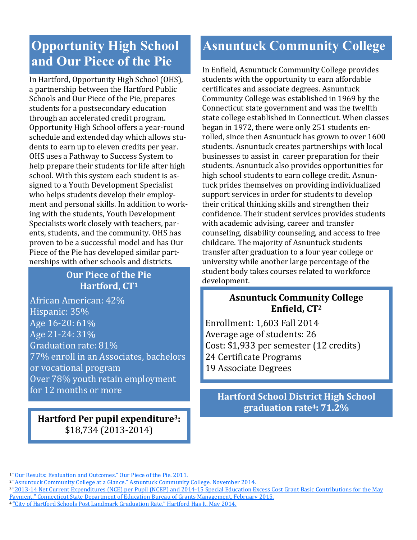### **Opportunity High School and Our Piece of the Pie**

In Hartford, Opportunity High School (OHS), a partnership between the Hartford Public Schools and Our Piece of the Pie, prepares students for a postsecondary education through an accelerated credit program. Opportunity High School offers a year-round schedule and extended day which allows students to earn up to eleven credits per year. OHS uses a Pathway to Success System to help prepare their students for life after high school. With this system each student is assigned to a Youth Development Specialist who helps students develop their employment and personal skills. In addition to working with the students, Youth Development Specialists work closely with teachers, parents, students, and the community. OHS has proven to be a successful model and has Our Piece of the Pie has developed similar partnerships with other schools and districts.

#### **Our Piece of the Pie Hartford, CT<sup>1</sup>**

African American: 42% Hispanic: 35% Age 16-20: 61% Age 21-24: 31% Graduation rate: 81% 77% enroll in an Associates, bachelors or vocational program Over 78% youth retain employment for 12 months or more

**Hartford Per pupil expenditure3:**  \$18,734 (2013-2014)

## **Asnuntuck Community College**

In Enfield, Asnuntuck Community College provides students with the opportunity to earn affordable certificates and associate degrees. Asnuntuck Community College was established in 1969 by the Connecticut state government and was the twelfth state college established in Connecticut. When classes began in 1972, there were only 251 students enrolled, since then Asnuntuck has grown to over 1600 students. Asnuntuck creates partnerships with local businesses to assist in career preparation for their students. Asnuntuck also provides opportunities for high school students to earn college credit. Asnuntuck prides themselves on providing individualized support services in order for students to develop their critical thinking skills and strengthen their confidence. Their student services provides students with academic advising, career and transfer counseling, disability counseling, and access to free childcare. The majority of Asnuntuck students transfer after graduation to a four year college or university while another large percentage of the student body takes courses related to workforce development.

#### **Asnuntuck Community College Enfield, CT<sup>2</sup>**

Enrollment: 1,603 Fall 2014 Average age of students: 26 Cost: \$1,933 per semester (12 credits) 24 Certificate Programs 19 Associate Degrees

**Hartford School District High School graduation rate4: 71.2%**

<sup>1</sup>["Our Results: Evaluation and Outcomes." Our Piece of the Pie. 2011.](http://opp.org/About/results.html)

<sup>&</sup>lt;sup>2</sup> ["Asnuntuck Community College at a Glance." Asnuntuck Community College. November 2014.](http://www.asnuntuck.edu/about/college-glance)

<sup>&</sup>lt;sup>3</sup> "2013[-14 Net Current Expenditures \(NCE\) per Pupil \(NCEP\) and 2014-15 Special Education Excess Cost Grant Basic Contributions for](http://www.sde.ct.gov/sde/lib/sde/PDF/dgm/report1/basiccon.pdf) the May [Payment." Connecticut State Department of Education Bureau of Grants Management. February 2015.](http://www.sde.ct.gov/sde/lib/sde/PDF/dgm/report1/basiccon.pdf)

<sup>4</sup> **"**[City of Hartford Schools Post Landmark Graduation Rate." Hartford Has It. May 2014.](http://www.hartford.gov/pressroom/1264-city-of-hartford-schools-post-landmark-graduation-rate)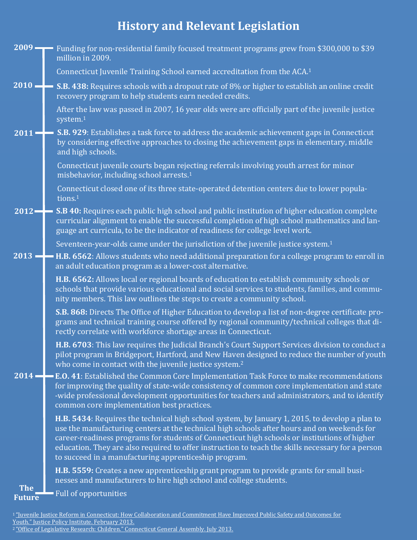## **History and Relevant Legislation**

|                      | 2009 Funding for non-residential family focused treatment programs grew from \$300,000 to \$39<br>million in 2009.                                                                                                                                                                                                                                                                                                                                          |
|----------------------|-------------------------------------------------------------------------------------------------------------------------------------------------------------------------------------------------------------------------------------------------------------------------------------------------------------------------------------------------------------------------------------------------------------------------------------------------------------|
|                      | Connecticut Juvenile Training School earned accreditation from the ACA. <sup>1</sup>                                                                                                                                                                                                                                                                                                                                                                        |
|                      | 2010 - S.B. 438: Requires schools with a dropout rate of 8% or higher to establish an online credit<br>recovery program to help students earn needed credits.                                                                                                                                                                                                                                                                                               |
|                      | After the law was passed in 2007, 16 year olds were are officially part of the juvenile justice<br>system. <sup>1</sup>                                                                                                                                                                                                                                                                                                                                     |
| $2011 -$             | S.B. 929: Establishes a task force to address the academic achievement gaps in Connecticut<br>by considering effective approaches to closing the achievement gaps in elementary, middle<br>and high schools.                                                                                                                                                                                                                                                |
|                      | Connecticut juvenile courts began rejecting referrals involving youth arrest for minor<br>misbehavior, including school arrests. <sup>1</sup>                                                                                                                                                                                                                                                                                                               |
|                      | Connecticut closed one of its three state-operated detention centers due to lower popula-<br>tions. <sup>1</sup>                                                                                                                                                                                                                                                                                                                                            |
|                      | 2012 - S.B 40: Requires each public high school and public institution of higher education complete<br>curricular alignment to enable the successful completion of high school mathematics and lan-<br>guage art curricula, to be the indicator of readiness for college level work.                                                                                                                                                                        |
|                      | Seventeen-year-olds came under the jurisdiction of the juvenile justice system. <sup>1</sup>                                                                                                                                                                                                                                                                                                                                                                |
|                      | 2013 - H.B. 6562: Allows students who need additional preparation for a college program to enroll in<br>an adult education program as a lower-cost alternative.                                                                                                                                                                                                                                                                                             |
|                      | H.B. 6562: Allows local or regional boards of education to establish community schools or<br>schools that provide various educational and social services to students, families, and commu-<br>nity members. This law outlines the steps to create a community school.                                                                                                                                                                                      |
|                      | S.B. 868: Directs The Office of Higher Education to develop a list of non-degree certificate pro-<br>grams and technical training course offered by regional community/technical colleges that di-<br>rectly correlate with workforce shortage areas in Connecticut.                                                                                                                                                                                        |
|                      | H.B. 6703: This law requires the Judicial Branch's Court Support Services division to conduct a<br>pilot program in Bridgeport, Hartford, and New Haven designed to reduce the number of youth<br>who come in contact with the juvenile justice system. <sup>2</sup>                                                                                                                                                                                        |
|                      | 2014 - E.O. 41: Established the Common Core Implementation Task Force to make recommendations<br>for improving the quality of state-wide consistency of common core implementation and state<br>-wide professional development opportunities for teachers and administrators, and to identify<br>common core implementation best practices.                                                                                                                 |
|                      | H.B. 5434: Requires the technical high school system, by January 1, 2015, to develop a plan to<br>use the manufacturing centers at the technical high schools after hours and on weekends for<br>career-readiness programs for students of Connecticut high schools or institutions of higher<br>education. They are also required to offer instruction to teach the skills necessary for a person<br>to succeed in a manufacturing apprenticeship program. |
|                      | H.B. 5559: Creates a new apprenticeship grant program to provide grants for small busi-<br>nesses and manufacturers to hire high school and college students.                                                                                                                                                                                                                                                                                               |
| The<br><b>Future</b> | <b>Full of opportunities</b>                                                                                                                                                                                                                                                                                                                                                                                                                                |

<sup>&</sup>lt;sup>1</sup> "Juvenile Justice Reform in Connecticut: How Collaboration and Commitment Have Improved Public Safety and Outcomes for [Youth." Justice Policy Institute. February 2013.](http://www.justicepolicy.org/uploads/justicepolicy/documents/jpi_juvenile_justice_reform_in_ct.pdf)

<sup>&</sup>lt;sup>2</sup> ["Office of Legislative Research: Children." Connecticut General Assembly. July 2013.](http://www.cga.ct.gov/2013/rpt/2013-R-0286.htm#P197_12791)